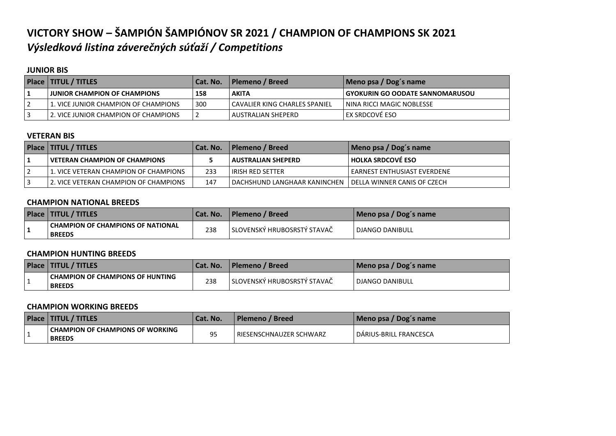### **VICTORY SHOW – ŠAMPIÓN ŠAMPIÓNOV SR 2021 / CHAMPION OF CHAMPIONS SK 2021** *Výsledková listina záverečných súťaží / Competitions*

#### **JUNIOR BIS**

| Place   TITUL / TITLES                 | Cat. No. | l Plemeno / Breed l             | Meno psa / Dog's name             |
|----------------------------------------|----------|---------------------------------|-----------------------------------|
| <b>I JUNIOR CHAMPION OF CHAMPIONS</b>  | 158      | <b>AKITA</b>                    | I GYOKURIN GO OODATE SANNOMARUSOU |
| L1. VICE JUNIOR CHAMPION OF CHAMPIONS  | 300      | I CAVALIER KING CHARLES SPANIEL | NINA RICCI MAGIC NOBLESSE         |
| l 2. VICE JUNIOR CHAMPION OF CHAMPIONS |          | AUSTRALIAN SHEPERD              | l ex srdcové eso.                 |

#### **VETERAN BIS**

| Place   TITUL / TITLES                |     | Cat. No.   Plemeno / Breed                                   | Meno psa / Dog's name         |
|---------------------------------------|-----|--------------------------------------------------------------|-------------------------------|
| I VETERAN CHAMPION OF CHAMPIONS       |     | I AUSTRALIAN SHEPERD                                         | HOLKA SRDCOVÉ ESO             |
| 1. VICE VETERAN CHAMPION OF CHAMPIONS | 233 | LIRISH RED SETTER                                            | l EARNEST ENTHUSIAST EVERDENE |
| 2. VICE VETERAN CHAMPION OF CHAMPIONS | 147 | I DACHSHUND LANGHAAR KANINCHEN I DELLA WINNER CANIS OF CZECH |                               |

#### **CHAMPION NATIONAL BREEDS**

|    | Place   TITUL / TITLES                             | <b>Cat. No.</b> | Plemeno / Breed               | Meno psa / Dog's name |
|----|----------------------------------------------------|-----------------|-------------------------------|-----------------------|
| л. | CHAMPION OF CHAMPIONS OF NATIONAL<br><b>BREEDS</b> | 238             | l SLOVENSKÝ HRUBOSRSTÝ STAVAČ | DJANGO DANIBULL       |

#### **CHAMPION HUNTING BREEDS**

| <b>Place   TITUL / TITLES</b>                       | Cat. No. | l Plemeno / Breed             | Meno psa / Dog's name |
|-----------------------------------------------------|----------|-------------------------------|-----------------------|
| I CHAMPION OF CHAMPIONS OF HUNTING<br><b>BREEDS</b> | 238      | I SLOVENSKÝ HRUBOSRSTÝ STAVAČ | DJANGO DANIBULL       |

#### **CHAMPION WORKING BREEDS**

| <b>Place   TITUL / TITLES</b>                       | Cat. No. | l Plemeno / Breed         | Meno psa / Dog's name  |
|-----------------------------------------------------|----------|---------------------------|------------------------|
| I CHAMPION OF CHAMPIONS OF WORKING<br><b>BREEDS</b> |          | l RIESENSCHNAUZER SCHWARZ | DÁRIUS-BRILL FRANCESCA |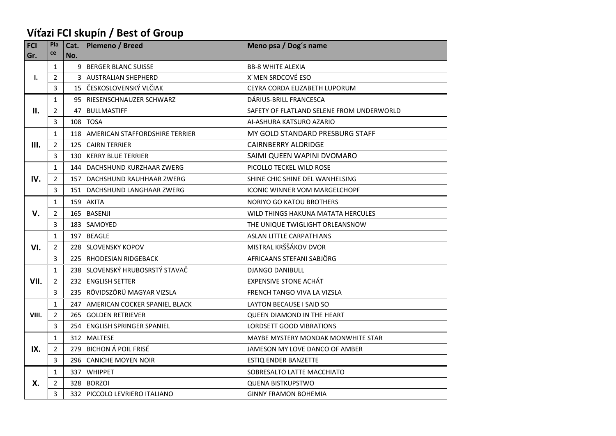## **Víťazi FCI skupín / Best of Group**

| <b>FCI</b> | Pla            | Cat.           | Plemeno / Breed                      | Meno psa / Dog's name                     |
|------------|----------------|----------------|--------------------------------------|-------------------------------------------|
| Gr.        | ce             | No.            |                                      |                                           |
| Ι.         | $\mathbf{1}$   |                | 9 BERGER BLANC SUISSE                | <b>BB-8 WHITE ALEXIA</b>                  |
|            | $\overline{2}$ | $\overline{3}$ | <b>AUSTRALIAN SHEPHERD</b>           | X'MEN SRDCOVÉ ESO                         |
|            | 3              |                | 15 ČESKOSLOVENSKÝ VLČIAK             | CEYRA CORDA ELIZABETH LUPORUM             |
|            | $\mathbf{1}$   |                | 95   RIESENSCHNAUZER SCHWARZ         | DÁRIUS-BRILL FRANCESCA                    |
| ΙΙ.        | $\overline{2}$ | 47             | <b>BULLMASTIFF</b>                   | SAFETY OF FLATLAND SELENE FROM UNDERWORLD |
|            | 3              |                | 108 TOSA                             | AI-ASHURA KATSURO AZARIO                  |
|            | $\mathbf{1}$   |                | 118   AMERICAN STAFFORDSHIRE TERRIER | MY GOLD STANDARD PRESBURG STAFF           |
| Ш.         | $\overline{2}$ |                | 125 CAIRN TERRIER                    | CAIRNBERRY ALDRIDGE                       |
|            | 3              |                | 130   KERRY BLUE TERRIER             | SAIMI QUEEN WAPINI DVOMARO                |
|            | $\mathbf{1}$   | 144            | DACHSHUND KURZHAAR ZWERG             | PICOLLO TECKEL WILD ROSE                  |
| IV.        | $\overline{2}$ |                | 157   DACHSHUND RAUHHAAR ZWERG       | SHINE CHIC SHINE DEL WANHELSING           |
|            | 3              |                | 151   DACHSHUND LANGHAAR ZWERG       | ICONIC WINNER VOM MARGELCHOPF             |
|            | $\mathbf{1}$   |                | 159 AKITA                            | <b>NORIYO GO KATOU BROTHERS</b>           |
| V.         | $\overline{2}$ |                | 165 BASENJI                          | WILD THINGS HAKUNA MATATA HERCULES        |
|            | 3              |                | 183   SAMOYED                        | THE UNIQUE TWIGLIGHT ORLEANSNOW           |
|            | $\mathbf{1}$   |                | 197 BEAGLE                           | ASLAN LITTLE CARPATHIANS                  |
| VI.        | $\overline{2}$ |                | 228 SLOVENSKY KOPOV                  | MISTRAL KRŠŠÁKOV DVOR                     |
|            | 3              |                | 225   RHODESIAN RIDGEBACK            | AFRICAANS STEFANI SABJÖRG                 |
|            | $\mathbf{1}$   |                | 238 SLOVENSKÝ HRUBOSRSTÝ STAVAČ      | <b>DJANGO DANIBULL</b>                    |
| VII.       | $\overline{2}$ |                | 232 ENGLISH SETTER                   | <b>EXPENSIVE STONE ACHÁT</b>              |
|            | 3              |                | 235 RÖVIDSZÖRÜ MAGYAR VIZSLA         | FRENCH TANGO VIVA LA VIZSLA               |
|            | $\mathbf{1}$   | 247            | AMERICAN COCKER SPANIEL BLACK        | LAYTON BECAUSE I SAID SO                  |
| VIII.      | $\overline{2}$ |                | 265 GOLDEN RETRIEVER                 | QUEEN DIAMOND IN THE HEART                |
|            | 3              |                | 254   ENGLISH SPRINGER SPANIEL       | <b>LORDSETT GOOD VIBRATIONS</b>           |
|            | $\mathbf{1}$   |                | 312 MALTESE                          | MAYBE MYSTERY MONDAK MONWHITE STAR        |
| IX.        | $\overline{2}$ |                | 279 BICHON Á POIL FRISÉ              | JAMESON MY LOVE DANCO OF AMBER            |
|            | 3              |                | 296 CANICHE MOYEN NOIR               | ESTIQ ENDER BANZETTE                      |
|            | $\mathbf{1}$   |                | 337 WHIPPET                          | SOBRESALTO LATTE MACCHIATO                |
| Х.         | $\overline{2}$ |                | 328 BORZOI                           | <b>QUENA BISTKUPSTWO</b>                  |
|            | 3              |                | 332 PICCOLO LEVRIERO ITALIANO        | <b>GINNY FRAMON BOHEMIA</b>               |